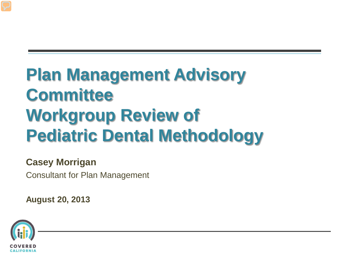# **Plan Management Advisory Committee Workgroup Review of Pediatric Dental Methodology**

#### **Casey Morrigan**

Consultant for Plan Management

**August 20, 2013**

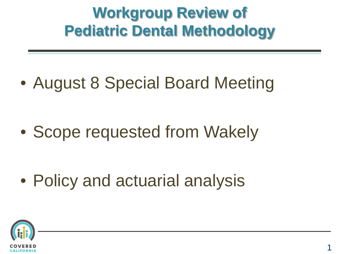### **Workgroup Review of Pediatric Dental Methodology**

• August 8 Special Board Meeting

• Scope requested from Wakely

• Policy and actuarial analysis

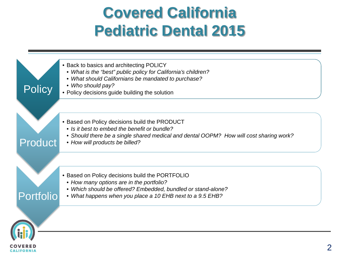#### **Covered California Pediatric Dental 2015**

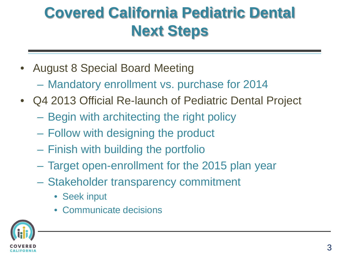## **Covered California Pediatric Dental Next Steps**

- August 8 Special Board Meeting
	- Mandatory enrollment vs. purchase for 2014
- Q4 2013 Official Re-launch of Pediatric Dental Project
	- Begin with architecting the right policy
	- Follow with designing the product
	- Finish with building the portfolio
	- Target open-enrollment for the 2015 plan year
	- Stakeholder transparency commitment
		- Seek input
		- Communicate decisions

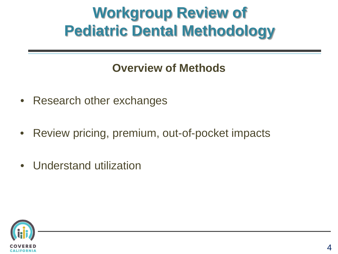### **Workgroup Review of Pediatric Dental Methodology**

#### **Overview of Methods**

- Research other exchanges
- Review pricing, premium, out-of-pocket impacts
- Understand utilization